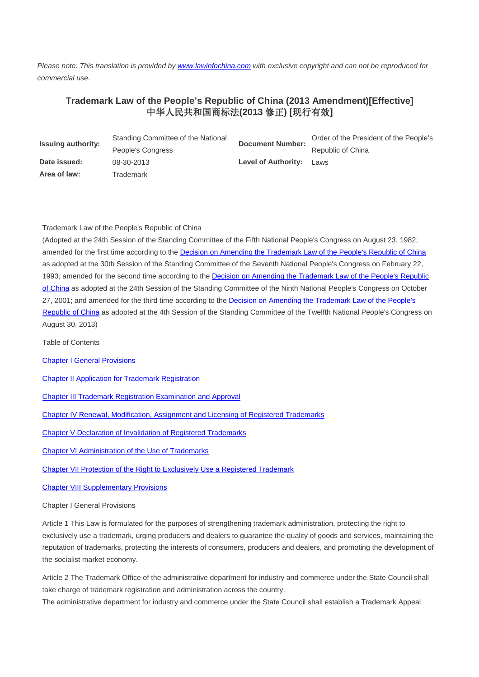Please note: This translation is provided by www.lawinfochina.com with exclusive copyright and can not be reproduced for commercial use.

## **Trademark Law of the People's Republic of China (2013 Amendment)[Effective]**  中华人民共和国商标法**(2013** 修正**) [**现行有效**]**

| <b>Issuing authority:</b> | Standing Committee of the National | <b>Document Number:</b>    | Order of the President of the People's |
|---------------------------|------------------------------------|----------------------------|----------------------------------------|
|                           | People's Congress                  |                            | Republic of China                      |
| Date issued:              | 08-30-2013                         | <b>Level of Authority:</b> | Laws                                   |
| Area of law:              | Trademark                          |                            |                                        |

## Trademark Law of the People's Republic of China

(Adopted at the 24th Session of the Standing Committee of the Fifth National People's Congress on August 23, 1982; amended for the first time according to the Decision on Amending the Trademark Law of the People's Republic of China as adopted at the 30th Session of the Standing Committee of the Seventh National People's Congress on February 22, 1993; amended for the second time according to the Decision on Amending the Trademark Law of the People's Republic of China as adopted at the 24th Session of the Standing Committee of the Ninth National People's Congress on October 27, 2001; and amended for the third time according to the Decision on Amending the Trademark Law of the People's Republic of China as adopted at the 4th Session of the Standing Committee of the Twelfth National People's Congress on August 30, 2013)

Table of Contents

- Chapter I General Provisions
- Chapter II Application for Trademark Registration

Chapter III Trademark Registration Examination and Approval

Chapter IV Renewal, Modification, Assignment and Licensing of Registered Trademarks

Chapter V Declaration of Invalidation of Registered Trademarks

Chapter VI Administration of the Use of Trademarks

Chapter VII Protection of the Right to Exclusively Use a Registered Trademark

Chapter VIII Supplementary Provisions

Chapter I General Provisions

Article 1 This Law is formulated for the purposes of strengthening trademark administration, protecting the right to exclusively use a trademark, urging producers and dealers to guarantee the quality of goods and services, maintaining the reputation of trademarks, protecting the interests of consumers, producers and dealers, and promoting the development of the socialist market economy.

Article 2 The Trademark Office of the administrative department for industry and commerce under the State Council shall take charge of trademark registration and administration across the country.

The administrative department for industry and commerce under the State Council shall establish a Trademark Appeal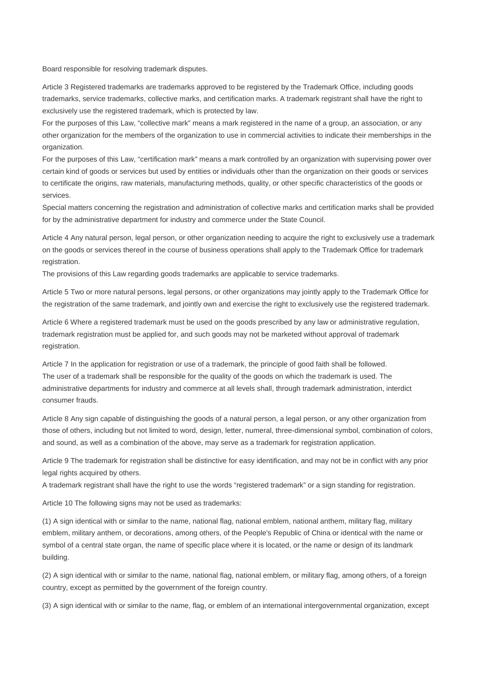Board responsible for resolving trademark disputes.

Article 3 Registered trademarks are trademarks approved to be registered by the Trademark Office, including goods trademarks, service trademarks, collective marks, and certification marks. A trademark registrant shall have the right to exclusively use the registered trademark, which is protected by law.

For the purposes of this Law, "collective mark" means a mark registered in the name of a group, an association, or any other organization for the members of the organization to use in commercial activities to indicate their memberships in the organization.

For the purposes of this Law, "certification mark" means a mark controlled by an organization with supervising power over certain kind of goods or services but used by entities or individuals other than the organization on their goods or services to certificate the origins, raw materials, manufacturing methods, quality, or other specific characteristics of the goods or services.

Special matters concerning the registration and administration of collective marks and certification marks shall be provided for by the administrative department for industry and commerce under the State Council.

Article 4 Any natural person, legal person, or other organization needing to acquire the right to exclusively use a trademark on the goods or services thereof in the course of business operations shall apply to the Trademark Office for trademark registration.

The provisions of this Law regarding goods trademarks are applicable to service trademarks.

Article 5 Two or more natural persons, legal persons, or other organizations may jointly apply to the Trademark Office for the registration of the same trademark, and jointly own and exercise the right to exclusively use the registered trademark.

Article 6 Where a registered trademark must be used on the goods prescribed by any law or administrative regulation, trademark registration must be applied for, and such goods may not be marketed without approval of trademark registration.

Article 7 In the application for registration or use of a trademark, the principle of good faith shall be followed. The user of a trademark shall be responsible for the quality of the goods on which the trademark is used. The administrative departments for industry and commerce at all levels shall, through trademark administration, interdict consumer frauds.

Article 8 Any sign capable of distinguishing the goods of a natural person, a legal person, or any other organization from those of others, including but not limited to word, design, letter, numeral, three-dimensional symbol, combination of colors, and sound, as well as a combination of the above, may serve as a trademark for registration application.

Article 9 The trademark for registration shall be distinctive for easy identification, and may not be in conflict with any prior legal rights acquired by others.

A trademark registrant shall have the right to use the words "registered trademark" or a sign standing for registration.

Article 10 The following signs may not be used as trademarks:

(1) A sign identical with or similar to the name, national flag, national emblem, national anthem, military flag, military emblem, military anthem, or decorations, among others, of the People's Republic of China or identical with the name or symbol of a central state organ, the name of specific place where it is located, or the name or design of its landmark building.

(2) A sign identical with or similar to the name, national flag, national emblem, or military flag, among others, of a foreign country, except as permitted by the government of the foreign country.

(3) A sign identical with or similar to the name, flag, or emblem of an international intergovernmental organization, except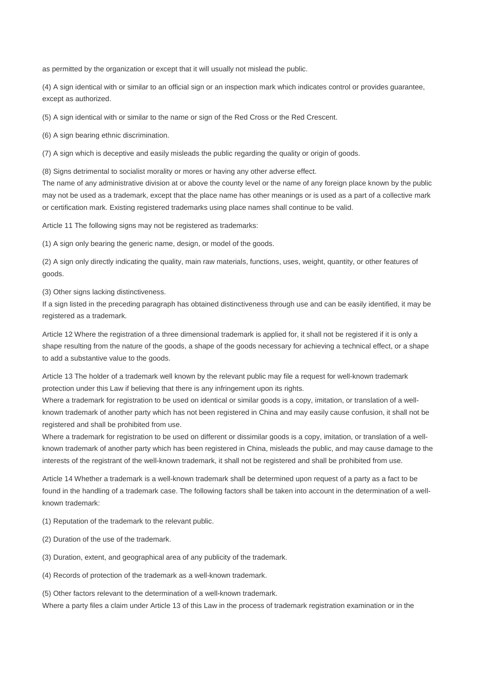as permitted by the organization or except that it will usually not mislead the public.

(4) A sign identical with or similar to an official sign or an inspection mark which indicates control or provides guarantee, except as authorized.

(5) A sign identical with or similar to the name or sign of the Red Cross or the Red Crescent.

(6) A sign bearing ethnic discrimination.

(7) A sign which is deceptive and easily misleads the public regarding the quality or origin of goods.

(8) Signs detrimental to socialist morality or mores or having any other adverse effect.

The name of any administrative division at or above the county level or the name of any foreign place known by the public may not be used as a trademark, except that the place name has other meanings or is used as a part of a collective mark or certification mark. Existing registered trademarks using place names shall continue to be valid.

Article 11 The following signs may not be registered as trademarks:

(1) A sign only bearing the generic name, design, or model of the goods.

(2) A sign only directly indicating the quality, main raw materials, functions, uses, weight, quantity, or other features of goods.

(3) Other signs lacking distinctiveness.

If a sign listed in the preceding paragraph has obtained distinctiveness through use and can be easily identified, it may be registered as a trademark.

Article 12 Where the registration of a three dimensional trademark is applied for, it shall not be registered if it is only a shape resulting from the nature of the goods, a shape of the goods necessary for achieving a technical effect, or a shape to add a substantive value to the goods.

Article 13 The holder of a trademark well known by the relevant public may file a request for well-known trademark protection under this Law if believing that there is any infringement upon its rights.

Where a trademark for registration to be used on identical or similar goods is a copy, imitation, or translation of a wellknown trademark of another party which has not been registered in China and may easily cause confusion, it shall not be registered and shall be prohibited from use.

Where a trademark for registration to be used on different or dissimilar goods is a copy, imitation, or translation of a wellknown trademark of another party which has been registered in China, misleads the public, and may cause damage to the interests of the registrant of the well-known trademark, it shall not be registered and shall be prohibited from use.

Article 14 Whether a trademark is a well-known trademark shall be determined upon request of a party as a fact to be found in the handling of a trademark case. The following factors shall be taken into account in the determination of a wellknown trademark:

(1) Reputation of the trademark to the relevant public.

- (2) Duration of the use of the trademark.
- (3) Duration, extent, and geographical area of any publicity of the trademark.

(4) Records of protection of the trademark as a well-known trademark.

(5) Other factors relevant to the determination of a well-known trademark.

Where a party files a claim under Article 13 of this Law in the process of trademark registration examination or in the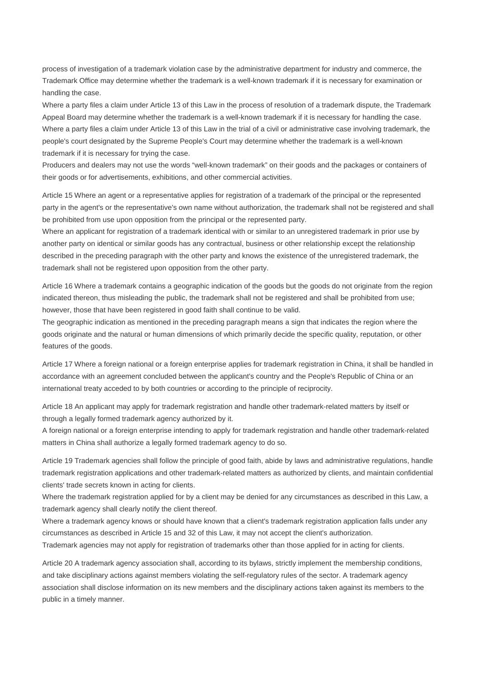process of investigation of a trademark violation case by the administrative department for industry and commerce, the Trademark Office may determine whether the trademark is a well-known trademark if it is necessary for examination or handling the case.

Where a party files a claim under Article 13 of this Law in the process of resolution of a trademark dispute, the Trademark Appeal Board may determine whether the trademark is a well-known trademark if it is necessary for handling the case. Where a party files a claim under Article 13 of this Law in the trial of a civil or administrative case involving trademark, the people's court designated by the Supreme People's Court may determine whether the trademark is a well-known trademark if it is necessary for trying the case.

Producers and dealers may not use the words "well-known trademark" on their goods and the packages or containers of their goods or for advertisements, exhibitions, and other commercial activities.

Article 15 Where an agent or a representative applies for registration of a trademark of the principal or the represented party in the agent's or the representative's own name without authorization, the trademark shall not be registered and shall be prohibited from use upon opposition from the principal or the represented party.

Where an applicant for registration of a trademark identical with or similar to an unregistered trademark in prior use by another party on identical or similar goods has any contractual, business or other relationship except the relationship described in the preceding paragraph with the other party and knows the existence of the unregistered trademark, the trademark shall not be registered upon opposition from the other party.

Article 16 Where a trademark contains a geographic indication of the goods but the goods do not originate from the region indicated thereon, thus misleading the public, the trademark shall not be registered and shall be prohibited from use; however, those that have been registered in good faith shall continue to be valid.

The geographic indication as mentioned in the preceding paragraph means a sign that indicates the region where the goods originate and the natural or human dimensions of which primarily decide the specific quality, reputation, or other features of the goods.

Article 17 Where a foreign national or a foreign enterprise applies for trademark registration in China, it shall be handled in accordance with an agreement concluded between the applicant's country and the People's Republic of China or an international treaty acceded to by both countries or according to the principle of reciprocity.

Article 18 An applicant may apply for trademark registration and handle other trademark-related matters by itself or through a legally formed trademark agency authorized by it.

A foreign national or a foreign enterprise intending to apply for trademark registration and handle other trademark-related matters in China shall authorize a legally formed trademark agency to do so.

Article 19 Trademark agencies shall follow the principle of good faith, abide by laws and administrative regulations, handle trademark registration applications and other trademark-related matters as authorized by clients, and maintain confidential clients' trade secrets known in acting for clients.

Where the trademark registration applied for by a client may be denied for any circumstances as described in this Law, a trademark agency shall clearly notify the client thereof.

Where a trademark agency knows or should have known that a client's trademark registration application falls under any circumstances as described in Article 15 and 32 of this Law, it may not accept the client's authorization.

Trademark agencies may not apply for registration of trademarks other than those applied for in acting for clients.

Article 20 A trademark agency association shall, according to its bylaws, strictly implement the membership conditions, and take disciplinary actions against members violating the self-regulatory rules of the sector. A trademark agency association shall disclose information on its new members and the disciplinary actions taken against its members to the public in a timely manner.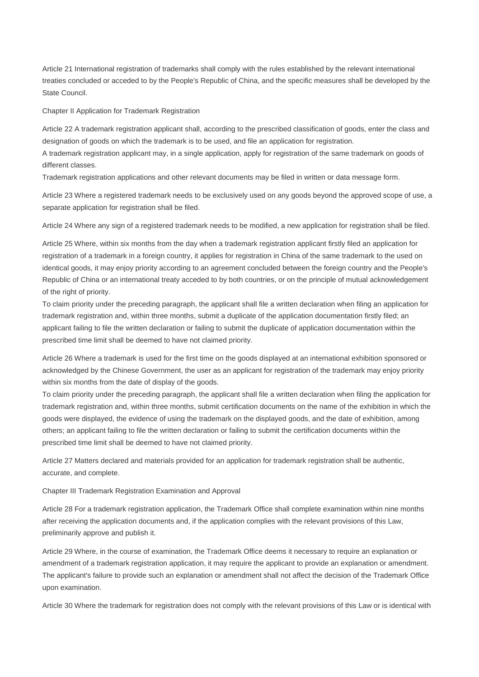Article 21 International registration of trademarks shall comply with the rules established by the relevant international treaties concluded or acceded to by the People's Republic of China, and the specific measures shall be developed by the State Council.

Chapter II Application for Trademark Registration

Article 22 A trademark registration applicant shall, according to the prescribed classification of goods, enter the class and designation of goods on which the trademark is to be used, and file an application for registration.

A trademark registration applicant may, in a single application, apply for registration of the same trademark on goods of different classes.

Trademark registration applications and other relevant documents may be filed in written or data message form.

Article 23 Where a registered trademark needs to be exclusively used on any goods beyond the approved scope of use, a separate application for registration shall be filed.

Article 24 Where any sign of a registered trademark needs to be modified, a new application for registration shall be filed.

Article 25 Where, within six months from the day when a trademark registration applicant firstly filed an application for registration of a trademark in a foreign country, it applies for registration in China of the same trademark to the used on identical goods, it may enjoy priority according to an agreement concluded between the foreign country and the People's Republic of China or an international treaty acceded to by both countries, or on the principle of mutual acknowledgement of the right of priority.

To claim priority under the preceding paragraph, the applicant shall file a written declaration when filing an application for trademark registration and, within three months, submit a duplicate of the application documentation firstly filed; an applicant failing to file the written declaration or failing to submit the duplicate of application documentation within the prescribed time limit shall be deemed to have not claimed priority.

Article 26 Where a trademark is used for the first time on the goods displayed at an international exhibition sponsored or acknowledged by the Chinese Government, the user as an applicant for registration of the trademark may enjoy priority within six months from the date of display of the goods.

To claim priority under the preceding paragraph, the applicant shall file a written declaration when filing the application for trademark registration and, within three months, submit certification documents on the name of the exhibition in which the goods were displayed, the evidence of using the trademark on the displayed goods, and the date of exhibition, among others; an applicant failing to file the written declaration or failing to submit the certification documents within the prescribed time limit shall be deemed to have not claimed priority.

Article 27 Matters declared and materials provided for an application for trademark registration shall be authentic, accurate, and complete.

Chapter III Trademark Registration Examination and Approval

Article 28 For a trademark registration application, the Trademark Office shall complete examination within nine months after receiving the application documents and, if the application complies with the relevant provisions of this Law, preliminarily approve and publish it.

Article 29 Where, in the course of examination, the Trademark Office deems it necessary to require an explanation or amendment of a trademark registration application, it may require the applicant to provide an explanation or amendment. The applicant's failure to provide such an explanation or amendment shall not affect the decision of the Trademark Office upon examination.

Article 30 Where the trademark for registration does not comply with the relevant provisions of this Law or is identical with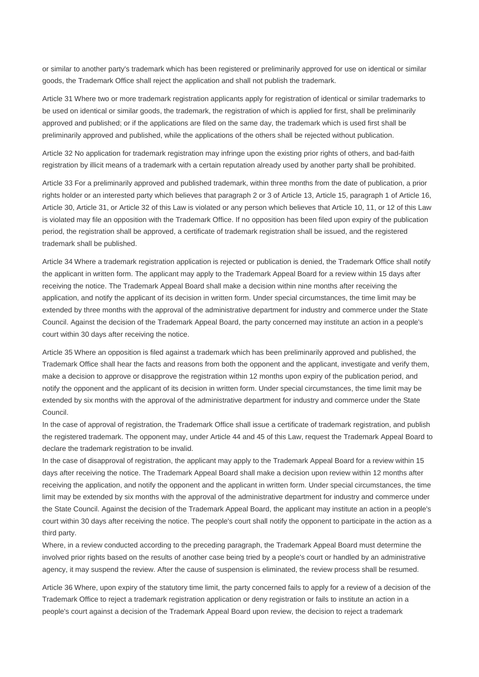or similar to another party's trademark which has been registered or preliminarily approved for use on identical or similar goods, the Trademark Office shall reject the application and shall not publish the trademark.

Article 31 Where two or more trademark registration applicants apply for registration of identical or similar trademarks to be used on identical or similar goods, the trademark, the registration of which is applied for first, shall be preliminarily approved and published; or if the applications are filed on the same day, the trademark which is used first shall be preliminarily approved and published, while the applications of the others shall be rejected without publication.

Article 32 No application for trademark registration may infringe upon the existing prior rights of others, and bad-faith registration by illicit means of a trademark with a certain reputation already used by another party shall be prohibited.

Article 33 For a preliminarily approved and published trademark, within three months from the date of publication, a prior rights holder or an interested party which believes that paragraph 2 or 3 of Article 13, Article 15, paragraph 1 of Article 16, Article 30, Article 31, or Article 32 of this Law is violated or any person which believes that Article 10, 11, or 12 of this Law is violated may file an opposition with the Trademark Office. If no opposition has been filed upon expiry of the publication period, the registration shall be approved, a certificate of trademark registration shall be issued, and the registered trademark shall be published.

Article 34 Where a trademark registration application is rejected or publication is denied, the Trademark Office shall notify the applicant in written form. The applicant may apply to the Trademark Appeal Board for a review within 15 days after receiving the notice. The Trademark Appeal Board shall make a decision within nine months after receiving the application, and notify the applicant of its decision in written form. Under special circumstances, the time limit may be extended by three months with the approval of the administrative department for industry and commerce under the State Council. Against the decision of the Trademark Appeal Board, the party concerned may institute an action in a people's court within 30 days after receiving the notice.

Article 35 Where an opposition is filed against a trademark which has been preliminarily approved and published, the Trademark Office shall hear the facts and reasons from both the opponent and the applicant, investigate and verify them, make a decision to approve or disapprove the registration within 12 months upon expiry of the publication period, and notify the opponent and the applicant of its decision in written form. Under special circumstances, the time limit may be extended by six months with the approval of the administrative department for industry and commerce under the State Council.

In the case of approval of registration, the Trademark Office shall issue a certificate of trademark registration, and publish the registered trademark. The opponent may, under Article 44 and 45 of this Law, request the Trademark Appeal Board to declare the trademark registration to be invalid.

In the case of disapproval of registration, the applicant may apply to the Trademark Appeal Board for a review within 15 days after receiving the notice. The Trademark Appeal Board shall make a decision upon review within 12 months after receiving the application, and notify the opponent and the applicant in written form. Under special circumstances, the time limit may be extended by six months with the approval of the administrative department for industry and commerce under the State Council. Against the decision of the Trademark Appeal Board, the applicant may institute an action in a people's court within 30 days after receiving the notice. The people's court shall notify the opponent to participate in the action as a third party.

Where, in a review conducted according to the preceding paragraph, the Trademark Appeal Board must determine the involved prior rights based on the results of another case being tried by a people's court or handled by an administrative agency, it may suspend the review. After the cause of suspension is eliminated, the review process shall be resumed.

Article 36 Where, upon expiry of the statutory time limit, the party concerned fails to apply for a review of a decision of the Trademark Office to reject a trademark registration application or deny registration or fails to institute an action in a people's court against a decision of the Trademark Appeal Board upon review, the decision to reject a trademark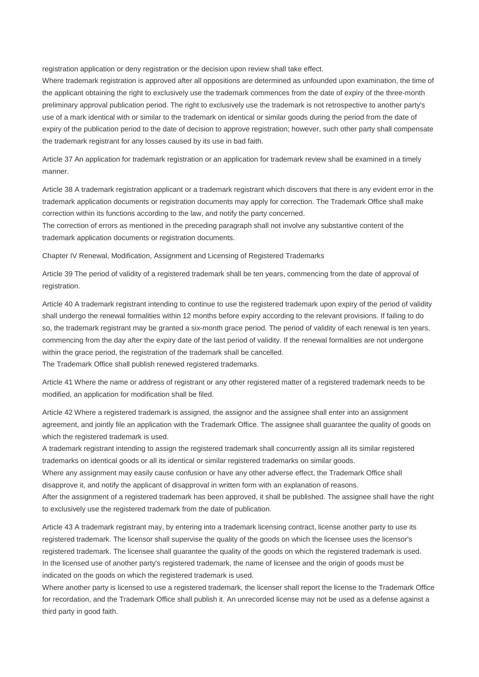registration application or deny registration or the decision upon review shall take effect.

Where trademark registration is approved after all oppositions are determined as unfounded upon examination, the time of the applicant obtaining the right to exclusively use the trademark commences from the date of expiry of the three-month preliminary approval publication period. The right to exclusively use the trademark is not retrospective to another party's use of a mark identical with or similar to the trademark on identical or similar goods during the period from the date of expiry of the publication period to the date of decision to approve registration; however, such other party shall compensate the trademark registrant for any losses caused by its use in bad faith.

Article 37 An application for trademark registration or an application for trademark review shall be examined in a timely manner.

Article 38 A trademark registration applicant or a trademark registrant which discovers that there is any evident error in the trademark application documents or registration documents may apply for correction. The Trademark Office shall make correction within its functions according to the law, and notify the party concerned.

The correction of errors as mentioned in the preceding paragraph shall not involve any substantive content of the trademark application documents or registration documents.

Chapter IV Renewal, Modification, Assignment and Licensing of Registered Trademarks

Article 39 The period of validity of a registered trademark shall be ten years, commencing from the date of approval of registration.

Article 40 A trademark registrant intending to continue to use the registered trademark upon expiry of the period of validity shall undergo the renewal formalities within 12 months before expiry according to the relevant provisions. If failing to do so, the trademark registrant may be granted a six-month grace period. The period of validity of each renewal is ten years, commencing from the day after the expiry date of the last period of validity. If the renewal formalities are not undergone within the grace period, the registration of the trademark shall be cancelled.

The Trademark Office shall publish renewed registered trademarks.

Article 41 Where the name or address of registrant or any other registered matter of a registered trademark needs to be modified, an application for modification shall be filed.

Article 42 Where a registered trademark is assigned, the assignor and the assignee shall enter into an assignment agreement, and jointly file an application with the Trademark Office. The assignee shall guarantee the quality of goods on which the registered trademark is used.

A trademark registrant intending to assign the registered trademark shall concurrently assign all its similar registered trademarks on identical goods or all its identical or similar registered trademarks on similar goods.

Where any assignment may easily cause confusion or have any other adverse effect, the Trademark Office shall disapprove it, and notify the applicant of disapproval in written form with an explanation of reasons.

After the assignment of a registered trademark has been approved, it shall be published. The assignee shall have the right to exclusively use the registered trademark from the date of publication.

Article 43 A trademark registrant may, by entering into a trademark licensing contract, license another party to use its registered trademark. The licensor shall supervise the quality of the goods on which the licensee uses the licensor's registered trademark. The licensee shall guarantee the quality of the goods on which the registered trademark is used. In the licensed use of another party's registered trademark, the name of licensee and the origin of goods must be indicated on the goods on which the registered trademark is used.

Where another party is licensed to use a registered trademark, the licenser shall report the license to the Trademark Office for recordation, and the Trademark Office shall publish it. An unrecorded license may not be used as a defense against a third party in good faith.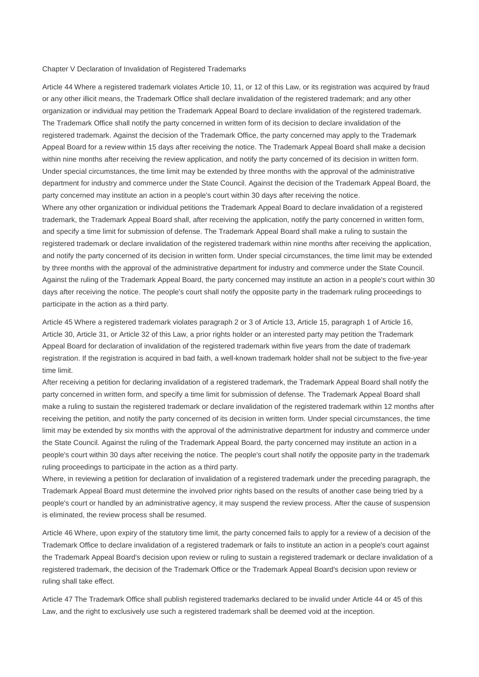## Chapter V Declaration of Invalidation of Registered Trademarks

Article 44 Where a registered trademark violates Article 10, 11, or 12 of this Law, or its registration was acquired by fraud or any other illicit means, the Trademark Office shall declare invalidation of the registered trademark; and any other organization or individual may petition the Trademark Appeal Board to declare invalidation of the registered trademark. The Trademark Office shall notify the party concerned in written form of its decision to declare invalidation of the registered trademark. Against the decision of the Trademark Office, the party concerned may apply to the Trademark Appeal Board for a review within 15 days after receiving the notice. The Trademark Appeal Board shall make a decision within nine months after receiving the review application, and notify the party concerned of its decision in written form. Under special circumstances, the time limit may be extended by three months with the approval of the administrative department for industry and commerce under the State Council. Against the decision of the Trademark Appeal Board, the party concerned may institute an action in a people's court within 30 days after receiving the notice. Where any other organization or individual petitions the Trademark Appeal Board to declare invalidation of a registered trademark, the Trademark Appeal Board shall, after receiving the application, notify the party concerned in written form, and specify a time limit for submission of defense. The Trademark Appeal Board shall make a ruling to sustain the registered trademark or declare invalidation of the registered trademark within nine months after receiving the application, and notify the party concerned of its decision in written form. Under special circumstances, the time limit may be extended by three months with the approval of the administrative department for industry and commerce under the State Council. Against the ruling of the Trademark Appeal Board, the party concerned may institute an action in a people's court within 30 days after receiving the notice. The people's court shall notify the opposite party in the trademark ruling proceedings to participate in the action as a third party.

Article 45 Where a registered trademark violates paragraph 2 or 3 of Article 13, Article 15, paragraph 1 of Article 16, Article 30, Article 31, or Article 32 of this Law, a prior rights holder or an interested party may petition the Trademark Appeal Board for declaration of invalidation of the registered trademark within five years from the date of trademark registration. If the registration is acquired in bad faith, a well-known trademark holder shall not be subject to the five-year time limit.

After receiving a petition for declaring invalidation of a registered trademark, the Trademark Appeal Board shall notify the party concerned in written form, and specify a time limit for submission of defense. The Trademark Appeal Board shall make a ruling to sustain the registered trademark or declare invalidation of the registered trademark within 12 months after receiving the petition, and notify the party concerned of its decision in written form. Under special circumstances, the time limit may be extended by six months with the approval of the administrative department for industry and commerce under the State Council. Against the ruling of the Trademark Appeal Board, the party concerned may institute an action in a people's court within 30 days after receiving the notice. The people's court shall notify the opposite party in the trademark ruling proceedings to participate in the action as a third party.

Where, in reviewing a petition for declaration of invalidation of a registered trademark under the preceding paragraph, the Trademark Appeal Board must determine the involved prior rights based on the results of another case being tried by a people's court or handled by an administrative agency, it may suspend the review process. After the cause of suspension is eliminated, the review process shall be resumed.

Article 46 Where, upon expiry of the statutory time limit, the party concerned fails to apply for a review of a decision of the Trademark Office to declare invalidation of a registered trademark or fails to institute an action in a people's court against the Trademark Appeal Board's decision upon review or ruling to sustain a registered trademark or declare invalidation of a registered trademark, the decision of the Trademark Office or the Trademark Appeal Board's decision upon review or ruling shall take effect.

Article 47 The Trademark Office shall publish registered trademarks declared to be invalid under Article 44 or 45 of this Law, and the right to exclusively use such a registered trademark shall be deemed void at the inception.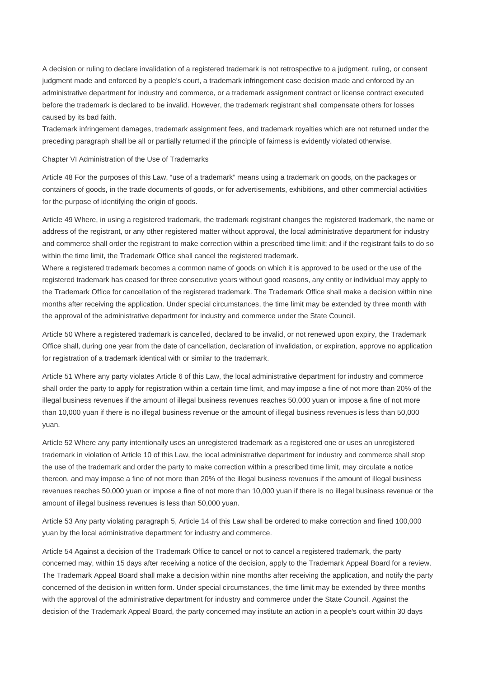A decision or ruling to declare invalidation of a registered trademark is not retrospective to a judgment, ruling, or consent judgment made and enforced by a people's court, a trademark infringement case decision made and enforced by an administrative department for industry and commerce, or a trademark assignment contract or license contract executed before the trademark is declared to be invalid. However, the trademark registrant shall compensate others for losses caused by its bad faith.

Trademark infringement damages, trademark assignment fees, and trademark royalties which are not returned under the preceding paragraph shall be all or partially returned if the principle of fairness is evidently violated otherwise.

## Chapter VI Administration of the Use of Trademarks

Article 48 For the purposes of this Law, "use of a trademark" means using a trademark on goods, on the packages or containers of goods, in the trade documents of goods, or for advertisements, exhibitions, and other commercial activities for the purpose of identifying the origin of goods.

Article 49 Where, in using a registered trademark, the trademark registrant changes the registered trademark, the name or address of the registrant, or any other registered matter without approval, the local administrative department for industry and commerce shall order the registrant to make correction within a prescribed time limit; and if the registrant fails to do so within the time limit, the Trademark Office shall cancel the registered trademark.

Where a registered trademark becomes a common name of goods on which it is approved to be used or the use of the registered trademark has ceased for three consecutive years without good reasons, any entity or individual may apply to the Trademark Office for cancellation of the registered trademark. The Trademark Office shall make a decision within nine months after receiving the application. Under special circumstances, the time limit may be extended by three month with the approval of the administrative department for industry and commerce under the State Council.

Article 50 Where a registered trademark is cancelled, declared to be invalid, or not renewed upon expiry, the Trademark Office shall, during one year from the date of cancellation, declaration of invalidation, or expiration, approve no application for registration of a trademark identical with or similar to the trademark.

Article 51 Where any party violates Article 6 of this Law, the local administrative department for industry and commerce shall order the party to apply for registration within a certain time limit, and may impose a fine of not more than 20% of the illegal business revenues if the amount of illegal business revenues reaches 50,000 yuan or impose a fine of not more than 10,000 yuan if there is no illegal business revenue or the amount of illegal business revenues is less than 50,000 yuan.

Article 52 Where any party intentionally uses an unregistered trademark as a registered one or uses an unregistered trademark in violation of Article 10 of this Law, the local administrative department for industry and commerce shall stop the use of the trademark and order the party to make correction within a prescribed time limit, may circulate a notice thereon, and may impose a fine of not more than 20% of the illegal business revenues if the amount of illegal business revenues reaches 50,000 yuan or impose a fine of not more than 10,000 yuan if there is no illegal business revenue or the amount of illegal business revenues is less than 50,000 yuan.

Article 53 Any party violating paragraph 5, Article 14 of this Law shall be ordered to make correction and fined 100,000 yuan by the local administrative department for industry and commerce.

Article 54 Against a decision of the Trademark Office to cancel or not to cancel a registered trademark, the party concerned may, within 15 days after receiving a notice of the decision, apply to the Trademark Appeal Board for a review. The Trademark Appeal Board shall make a decision within nine months after receiving the application, and notify the party concerned of the decision in written form. Under special circumstances, the time limit may be extended by three months with the approval of the administrative department for industry and commerce under the State Council. Against the decision of the Trademark Appeal Board, the party concerned may institute an action in a people's court within 30 days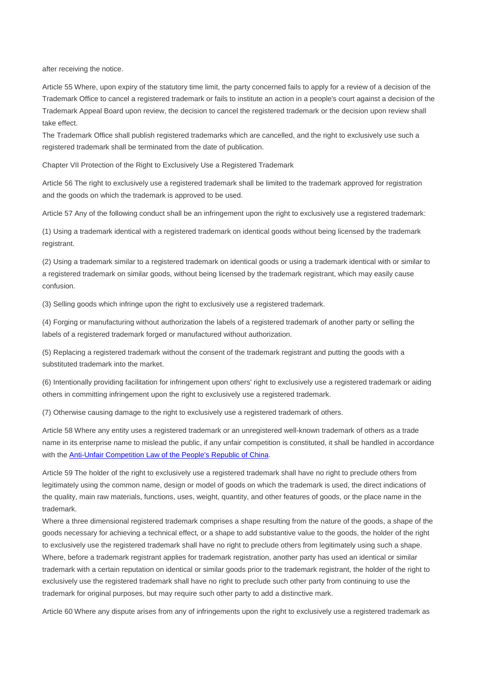after receiving the notice.

Article 55 Where, upon expiry of the statutory time limit, the party concerned fails to apply for a review of a decision of the Trademark Office to cancel a registered trademark or fails to institute an action in a people's court against a decision of the Trademark Appeal Board upon review, the decision to cancel the registered trademark or the decision upon review shall take effect.

The Trademark Office shall publish registered trademarks which are cancelled, and the right to exclusively use such a registered trademark shall be terminated from the date of publication.

Chapter VII Protection of the Right to Exclusively Use a Registered Trademark

Article 56 The right to exclusively use a registered trademark shall be limited to the trademark approved for registration and the goods on which the trademark is approved to be used.

Article 57 Any of the following conduct shall be an infringement upon the right to exclusively use a registered trademark:

(1) Using a trademark identical with a registered trademark on identical goods without being licensed by the trademark registrant.

(2) Using a trademark similar to a registered trademark on identical goods or using a trademark identical with or similar to a registered trademark on similar goods, without being licensed by the trademark registrant, which may easily cause confusion.

(3) Selling goods which infringe upon the right to exclusively use a registered trademark.

(4) Forging or manufacturing without authorization the labels of a registered trademark of another party or selling the labels of a registered trademark forged or manufactured without authorization.

(5) Replacing a registered trademark without the consent of the trademark registrant and putting the goods with a substituted trademark into the market.

(6) Intentionally providing facilitation for infringement upon others' right to exclusively use a registered trademark or aiding others in committing infringement upon the right to exclusively use a registered trademark.

(7) Otherwise causing damage to the right to exclusively use a registered trademark of others.

Article 58 Where any entity uses a registered trademark or an unregistered well-known trademark of others as a trade name in its enterprise name to mislead the public, if any unfair competition is constituted, it shall be handled in accordance with the Anti-Unfair Competition Law of the People's Republic of China.

Article 59 The holder of the right to exclusively use a registered trademark shall have no right to preclude others from legitimately using the common name, design or model of goods on which the trademark is used, the direct indications of the quality, main raw materials, functions, uses, weight, quantity, and other features of goods, or the place name in the trademark.

Where a three dimensional registered trademark comprises a shape resulting from the nature of the goods, a shape of the goods necessary for achieving a technical effect, or a shape to add substantive value to the goods, the holder of the right to exclusively use the registered trademark shall have no right to preclude others from legitimately using such a shape. Where, before a trademark registrant applies for trademark registration, another party has used an identical or similar trademark with a certain reputation on identical or similar goods prior to the trademark registrant, the holder of the right to exclusively use the registered trademark shall have no right to preclude such other party from continuing to use the trademark for original purposes, but may require such other party to add a distinctive mark.

Article 60 Where any dispute arises from any of infringements upon the right to exclusively use a registered trademark as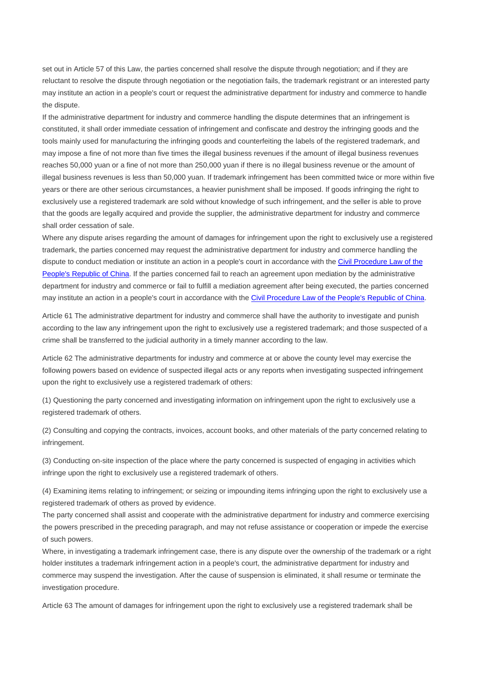set out in Article 57 of this Law, the parties concerned shall resolve the dispute through negotiation; and if they are reluctant to resolve the dispute through negotiation or the negotiation fails, the trademark registrant or an interested party may institute an action in a people's court or request the administrative department for industry and commerce to handle the dispute.

If the administrative department for industry and commerce handling the dispute determines that an infringement is constituted, it shall order immediate cessation of infringement and confiscate and destroy the infringing goods and the tools mainly used for manufacturing the infringing goods and counterfeiting the labels of the registered trademark, and may impose a fine of not more than five times the illegal business revenues if the amount of illegal business revenues reaches 50,000 yuan or a fine of not more than 250,000 yuan if there is no illegal business revenue or the amount of illegal business revenues is less than 50,000 yuan. If trademark infringement has been committed twice or more within five years or there are other serious circumstances, a heavier punishment shall be imposed. If goods infringing the right to exclusively use a registered trademark are sold without knowledge of such infringement, and the seller is able to prove that the goods are legally acquired and provide the supplier, the administrative department for industry and commerce shall order cessation of sale.

Where any dispute arises regarding the amount of damages for infringement upon the right to exclusively use a registered trademark, the parties concerned may request the administrative department for industry and commerce handling the dispute to conduct mediation or institute an action in a people's court in accordance with the Civil Procedure Law of the People's Republic of China. If the parties concerned fail to reach an agreement upon mediation by the administrative department for industry and commerce or fail to fulfill a mediation agreement after being executed, the parties concerned may institute an action in a people's court in accordance with the Civil Procedure Law of the People's Republic of China.

Article 61 The administrative department for industry and commerce shall have the authority to investigate and punish according to the law any infringement upon the right to exclusively use a registered trademark; and those suspected of a crime shall be transferred to the judicial authority in a timely manner according to the law.

Article 62 The administrative departments for industry and commerce at or above the county level may exercise the following powers based on evidence of suspected illegal acts or any reports when investigating suspected infringement upon the right to exclusively use a registered trademark of others:

(1) Questioning the party concerned and investigating information on infringement upon the right to exclusively use a registered trademark of others.

(2) Consulting and copying the contracts, invoices, account books, and other materials of the party concerned relating to infringement.

(3) Conducting on-site inspection of the place where the party concerned is suspected of engaging in activities which infringe upon the right to exclusively use a registered trademark of others.

(4) Examining items relating to infringement; or seizing or impounding items infringing upon the right to exclusively use a registered trademark of others as proved by evidence.

The party concerned shall assist and cooperate with the administrative department for industry and commerce exercising the powers prescribed in the preceding paragraph, and may not refuse assistance or cooperation or impede the exercise of such powers.

Where, in investigating a trademark infringement case, there is any dispute over the ownership of the trademark or a right holder institutes a trademark infringement action in a people's court, the administrative department for industry and commerce may suspend the investigation. After the cause of suspension is eliminated, it shall resume or terminate the investigation procedure.

Article 63 The amount of damages for infringement upon the right to exclusively use a registered trademark shall be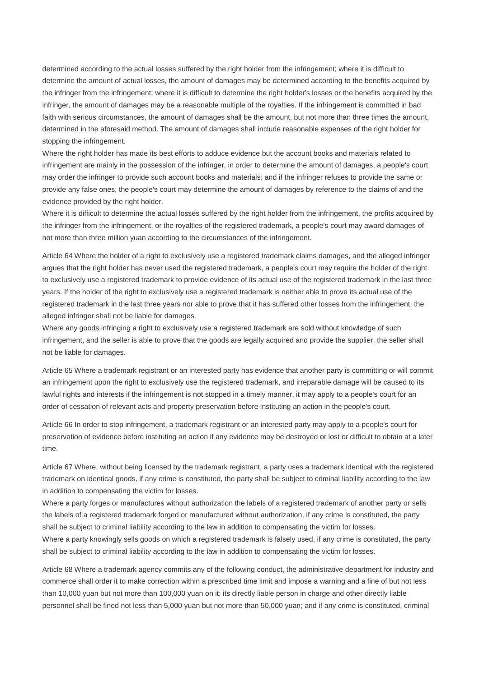determined according to the actual losses suffered by the right holder from the infringement; where it is difficult to determine the amount of actual losses, the amount of damages may be determined according to the benefits acquired by the infringer from the infringement; where it is difficult to determine the right holder's losses or the benefits acquired by the infringer, the amount of damages may be a reasonable multiple of the royalties. If the infringement is committed in bad faith with serious circumstances, the amount of damages shall be the amount, but not more than three times the amount, determined in the aforesaid method. The amount of damages shall include reasonable expenses of the right holder for stopping the infringement.

Where the right holder has made its best efforts to adduce evidence but the account books and materials related to infringement are mainly in the possession of the infringer, in order to determine the amount of damages, a people's court may order the infringer to provide such account books and materials; and if the infringer refuses to provide the same or provide any false ones, the people's court may determine the amount of damages by reference to the claims of and the evidence provided by the right holder.

Where it is difficult to determine the actual losses suffered by the right holder from the infringement, the profits acquired by the infringer from the infringement, or the royalties of the registered trademark, a people's court may award damages of not more than three million yuan according to the circumstances of the infringement.

Article 64 Where the holder of a right to exclusively use a registered trademark claims damages, and the alleged infringer argues that the right holder has never used the registered trademark, a people's court may require the holder of the right to exclusively use a registered trademark to provide evidence of its actual use of the registered trademark in the last three years. If the holder of the right to exclusively use a registered trademark is neither able to prove its actual use of the registered trademark in the last three years nor able to prove that it has suffered other losses from the infringement, the alleged infringer shall not be liable for damages.

Where any goods infringing a right to exclusively use a registered trademark are sold without knowledge of such infringement, and the seller is able to prove that the goods are legally acquired and provide the supplier, the seller shall not be liable for damages.

Article 65 Where a trademark registrant or an interested party has evidence that another party is committing or will commit an infringement upon the right to exclusively use the registered trademark, and irreparable damage will be caused to its lawful rights and interests if the infringement is not stopped in a timely manner, it may apply to a people's court for an order of cessation of relevant acts and property preservation before instituting an action in the people's court.

Article 66 In order to stop infringement, a trademark registrant or an interested party may apply to a people's court for preservation of evidence before instituting an action if any evidence may be destroyed or lost or difficult to obtain at a later time.

Article 67 Where, without being licensed by the trademark registrant, a party uses a trademark identical with the registered trademark on identical goods, if any crime is constituted, the party shall be subject to criminal liability according to the law in addition to compensating the victim for losses.

Where a party forges or manufactures without authorization the labels of a registered trademark of another party or sells the labels of a registered trademark forged or manufactured without authorization, if any crime is constituted, the party shall be subject to criminal liability according to the law in addition to compensating the victim for losses. Where a party knowingly sells goods on which a registered trademark is falsely used, if any crime is constituted, the party shall be subject to criminal liability according to the law in addition to compensating the victim for losses.

Article 68 Where a trademark agency commits any of the following conduct, the administrative department for industry and commerce shall order it to make correction within a prescribed time limit and impose a warning and a fine of but not less than 10,000 yuan but not more than 100,000 yuan on it; its directly liable person in charge and other directly liable personnel shall be fined not less than 5,000 yuan but not more than 50,000 yuan; and if any crime is constituted, criminal